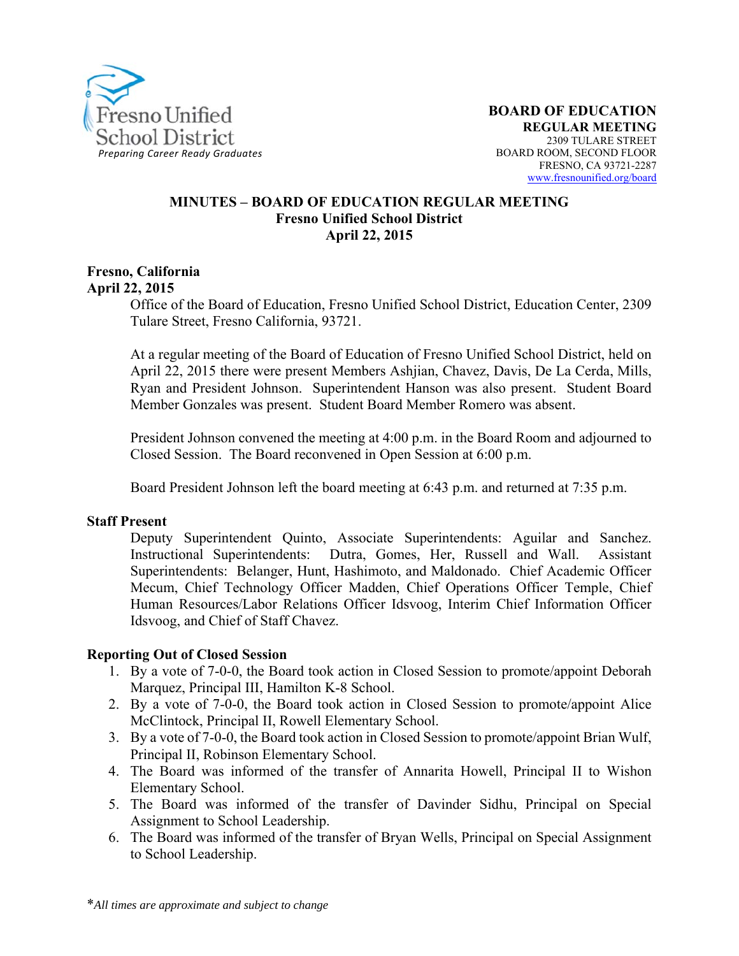

#### **MINUTES – BOARD OF EDUCATION REGULAR MEETING Fresno Unified School District April 22, 2015**

#### **Fresno, California April 22, 2015**

Office of the Board of Education, Fresno Unified School District, Education Center, 2309 Tulare Street, Fresno California, 93721.

At a regular meeting of the Board of Education of Fresno Unified School District, held on April 22, 2015 there were present Members Ashjian, Chavez, Davis, De La Cerda, Mills, Ryan and President Johnson. Superintendent Hanson was also present. Student Board Member Gonzales was present. Student Board Member Romero was absent.

President Johnson convened the meeting at 4:00 p.m. in the Board Room and adjourned to Closed Session. The Board reconvened in Open Session at 6:00 p.m.

Board President Johnson left the board meeting at 6:43 p.m. and returned at 7:35 p.m.

#### **Staff Present**

Deputy Superintendent Quinto, Associate Superintendents: Aguilar and Sanchez. Instructional Superintendents: Dutra, Gomes, Her, Russell and Wall. Assistant Superintendents: Belanger, Hunt, Hashimoto, and Maldonado. Chief Academic Officer Mecum, Chief Technology Officer Madden, Chief Operations Officer Temple, Chief Human Resources/Labor Relations Officer Idsvoog, Interim Chief Information Officer Idsvoog, and Chief of Staff Chavez.

#### **Reporting Out of Closed Session**

- 1. By a vote of 7-0-0, the Board took action in Closed Session to promote/appoint Deborah Marquez, Principal III, Hamilton K-8 School.
- 2. By a vote of 7-0-0, the Board took action in Closed Session to promote/appoint Alice McClintock, Principal II, Rowell Elementary School.
- 3. By a vote of 7-0-0, the Board took action in Closed Session to promote/appoint Brian Wulf, Principal II, Robinson Elementary School.
- 4. The Board was informed of the transfer of Annarita Howell, Principal II to Wishon Elementary School.
- 5. The Board was informed of the transfer of Davinder Sidhu, Principal on Special Assignment to School Leadership.
- 6. The Board was informed of the transfer of Bryan Wells, Principal on Special Assignment to School Leadership.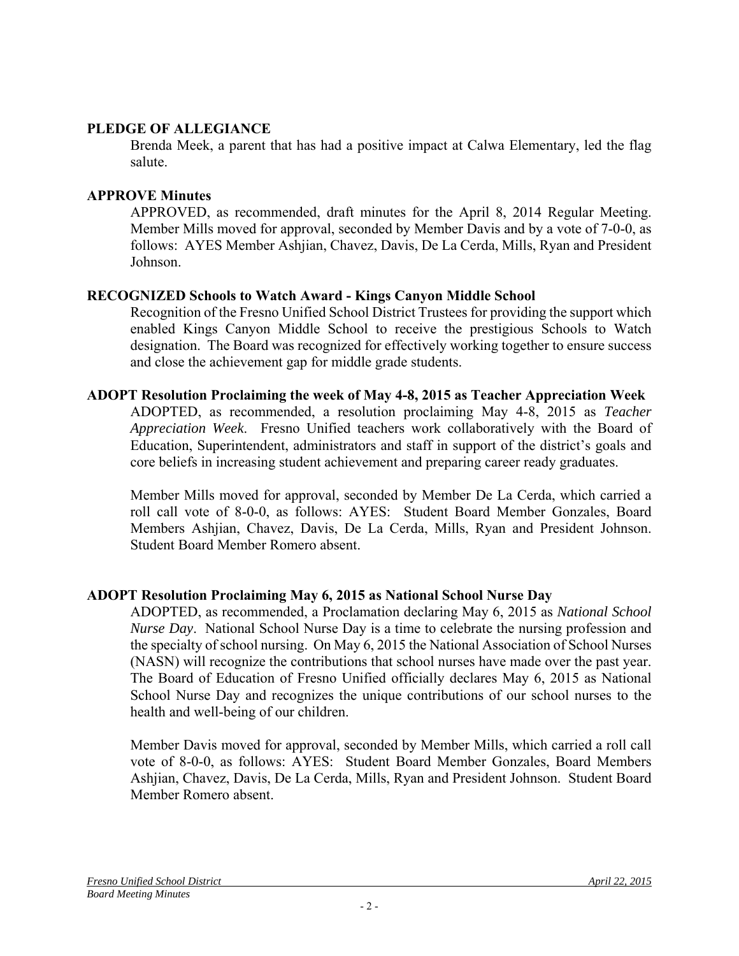#### **PLEDGE OF ALLEGIANCE**

Brenda Meek, a parent that has had a positive impact at Calwa Elementary, led the flag salute.

#### **APPROVE Minutes**

APPROVED, as recommended, draft minutes for the April 8, 2014 Regular Meeting. Member Mills moved for approval, seconded by Member Davis and by a vote of 7-0-0, as follows: AYES Member Ashjian, Chavez, Davis, De La Cerda, Mills, Ryan and President Johnson.

### **RECOGNIZED Schools to Watch Award - Kings Canyon Middle School**

Recognition of the Fresno Unified School District Trustees for providing the support which enabled Kings Canyon Middle School to receive the prestigious Schools to Watch designation. The Board was recognized for effectively working together to ensure success and close the achievement gap for middle grade students.

#### **ADOPT Resolution Proclaiming the week of May 4-8, 2015 as Teacher Appreciation Week**

ADOPTED, as recommended, a resolution proclaiming May 4-8, 2015 as *Teacher Appreciation Week*. Fresno Unified teachers work collaboratively with the Board of Education, Superintendent, administrators and staff in support of the district's goals and core beliefs in increasing student achievement and preparing career ready graduates.

Member Mills moved for approval, seconded by Member De La Cerda, which carried a roll call vote of 8-0-0, as follows: AYES: Student Board Member Gonzales, Board Members Ashjian, Chavez, Davis, De La Cerda, Mills, Ryan and President Johnson. Student Board Member Romero absent.

# **ADOPT Resolution Proclaiming May 6, 2015 as National School Nurse Day**

ADOPTED, as recommended, a Proclamation declaring May 6, 2015 as *National School Nurse Day*. National School Nurse Day is a time to celebrate the nursing profession and the specialty of school nursing. On May 6, 2015 the National Association of School Nurses (NASN) will recognize the contributions that school nurses have made over the past year. The Board of Education of Fresno Unified officially declares May 6, 2015 as National School Nurse Day and recognizes the unique contributions of our school nurses to the health and well-being of our children.

Member Davis moved for approval, seconded by Member Mills, which carried a roll call vote of 8-0-0, as follows: AYES: Student Board Member Gonzales, Board Members Ashjian, Chavez, Davis, De La Cerda, Mills, Ryan and President Johnson. Student Board Member Romero absent.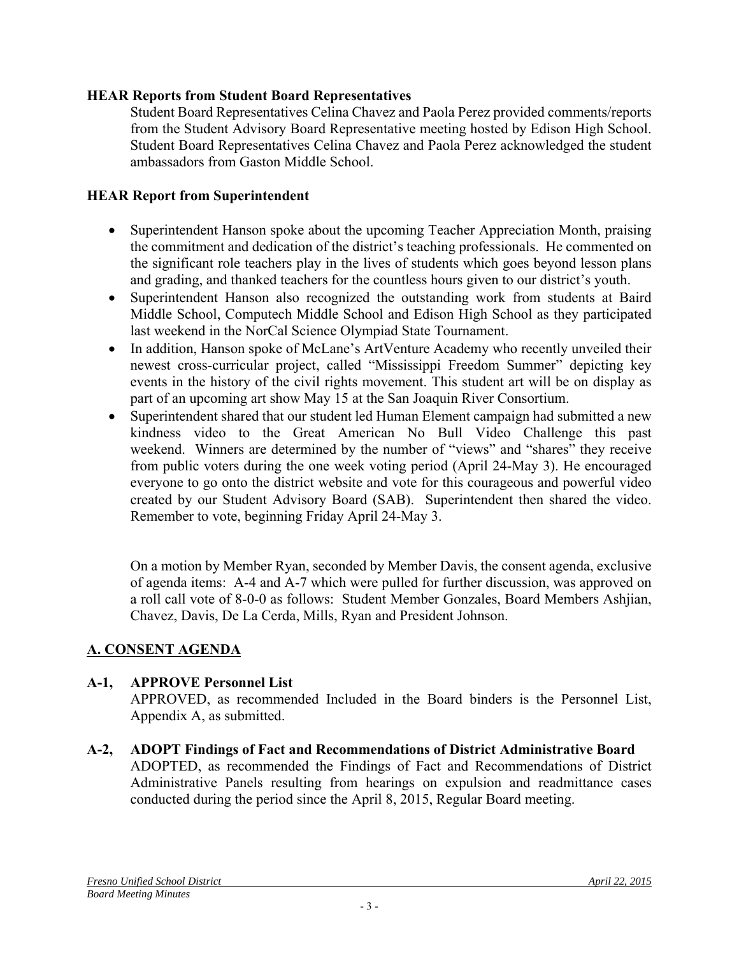### **HEAR Reports from Student Board Representatives**

Student Board Representatives Celina Chavez and Paola Perez provided comments/reports from the Student Advisory Board Representative meeting hosted by Edison High School. Student Board Representatives Celina Chavez and Paola Perez acknowledged the student ambassadors from Gaston Middle School.

### **HEAR Report from Superintendent**

- Superintendent Hanson spoke about the upcoming Teacher Appreciation Month, praising the commitment and dedication of the district's teaching professionals. He commented on the significant role teachers play in the lives of students which goes beyond lesson plans and grading, and thanked teachers for the countless hours given to our district's youth.
- Superintendent Hanson also recognized the outstanding work from students at Baird Middle School, Computech Middle School and Edison High School as they participated last weekend in the NorCal Science Olympiad State Tournament.
- In addition, Hanson spoke of McLane's ArtVenture Academy who recently unveiled their newest cross-curricular project, called "Mississippi Freedom Summer" depicting key events in the history of the civil rights movement. This student art will be on display as part of an upcoming art show May 15 at the San Joaquin River Consortium.
- Superintendent shared that our student led Human Element campaign had submitted a new kindness video to the Great American No Bull Video Challenge this past weekend. Winners are determined by the number of "views" and "shares" they receive from public voters during the one week voting period (April 24-May 3). He encouraged everyone to go onto the district website and vote for this courageous and powerful video created by our Student Advisory Board (SAB). Superintendent then shared the video. Remember to vote, beginning Friday April 24-May 3.

On a motion by Member Ryan, seconded by Member Davis, the consent agenda, exclusive of agenda items: A-4 and A-7 which were pulled for further discussion, was approved on a roll call vote of 8-0-0 as follows: Student Member Gonzales, Board Members Ashjian, Chavez, Davis, De La Cerda, Mills, Ryan and President Johnson.

# **A. CONSENT AGENDA**

# **A-1, APPROVE Personnel List**

APPROVED, as recommended Included in the Board binders is the Personnel List, Appendix A, as submitted.

**A-2, ADOPT Findings of Fact and Recommendations of District Administrative Board** ADOPTED, as recommended the Findings of Fact and Recommendations of District Administrative Panels resulting from hearings on expulsion and readmittance cases conducted during the period since the April 8, 2015, Regular Board meeting.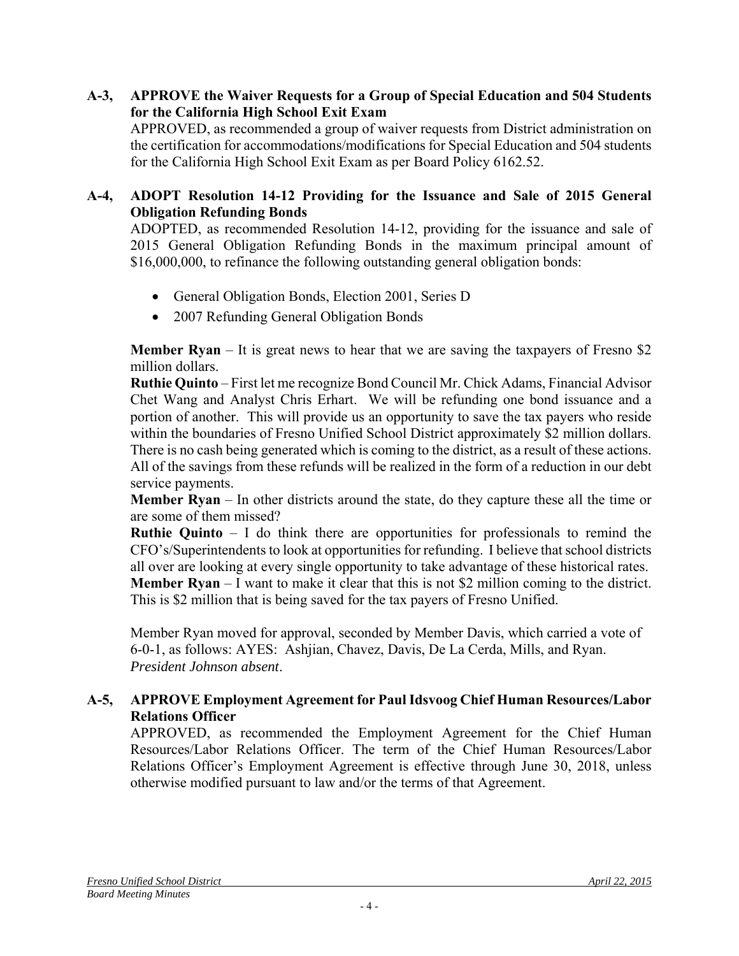### **A-3, APPROVE the Waiver Requests for a Group of Special Education and 504 Students for the California High School Exit Exam**

APPROVED, as recommended a group of waiver requests from District administration on the certification for accommodations/modifications for Special Education and 504 students for the California High School Exit Exam as per Board Policy 6162.52.

### **A-4, ADOPT Resolution 14-12 Providing for the Issuance and Sale of 2015 General Obligation Refunding Bonds**

ADOPTED, as recommended Resolution 14-12, providing for the issuance and sale of 2015 General Obligation Refunding Bonds in the maximum principal amount of \$16,000,000, to refinance the following outstanding general obligation bonds:

- General Obligation Bonds, Election 2001, Series D
- 2007 Refunding General Obligation Bonds

**Member Ryan** – It is great news to hear that we are saving the taxpayers of Fresno \$2 million dollars.

**Ruthie Quinto** – First let me recognize Bond Council Mr. Chick Adams, Financial Advisor Chet Wang and Analyst Chris Erhart. We will be refunding one bond issuance and a portion of another. This will provide us an opportunity to save the tax payers who reside within the boundaries of Fresno Unified School District approximately \$2 million dollars. There is no cash being generated which is coming to the district, as a result of these actions. All of the savings from these refunds will be realized in the form of a reduction in our debt service payments.

**Member Ryan** – In other districts around the state, do they capture these all the time or are some of them missed?

**Ruthie Quinto** – I do think there are opportunities for professionals to remind the CFO's/Superintendents to look at opportunities for refunding. I believe that school districts all over are looking at every single opportunity to take advantage of these historical rates. **Member Ryan** – I want to make it clear that this is not \$2 million coming to the district. This is \$2 million that is being saved for the tax payers of Fresno Unified.

Member Ryan moved for approval, seconded by Member Davis, which carried a vote of 6-0-1, as follows: AYES: Ashjian, Chavez, Davis, De La Cerda, Mills, and Ryan. *President Johnson absent*.

### **A-5, APPROVE Employment Agreement for Paul Idsvoog Chief Human Resources/Labor Relations Officer**

APPROVED, as recommended the Employment Agreement for the Chief Human Resources/Labor Relations Officer. The term of the Chief Human Resources/Labor Relations Officer's Employment Agreement is effective through June 30, 2018, unless otherwise modified pursuant to law and/or the terms of that Agreement.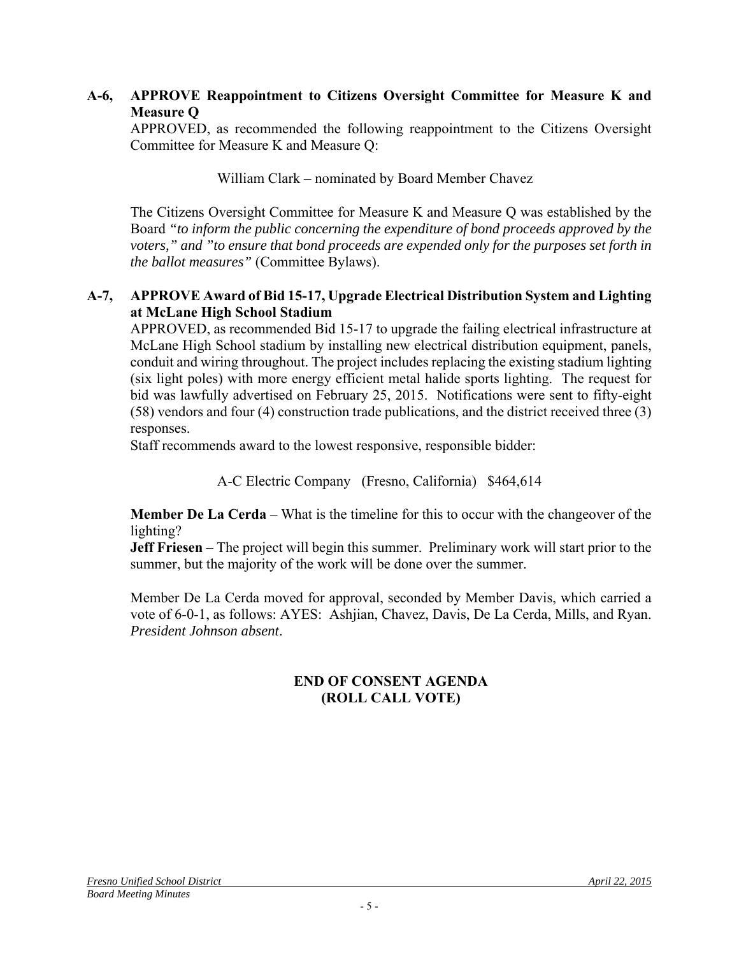### **A-6, APPROVE Reappointment to Citizens Oversight Committee for Measure K and Measure Q**

APPROVED, as recommended the following reappointment to the Citizens Oversight Committee for Measure K and Measure Q:

William Clark – nominated by Board Member Chavez

The Citizens Oversight Committee for Measure K and Measure Q was established by the Board *"to inform the public concerning the expenditure of bond proceeds approved by the voters," and "to ensure that bond proceeds are expended only for the purposes set forth in the ballot measures"* (Committee Bylaws).

### **A-7, APPROVE Award of Bid 15-17, Upgrade Electrical Distribution System and Lighting at McLane High School Stadium**

APPROVED, as recommended Bid 15-17 to upgrade the failing electrical infrastructure at McLane High School stadium by installing new electrical distribution equipment, panels, conduit and wiring throughout. The project includes replacing the existing stadium lighting (six light poles) with more energy efficient metal halide sports lighting. The request for bid was lawfully advertised on February 25, 2015. Notifications were sent to fifty-eight (58) vendors and four (4) construction trade publications, and the district received three (3) responses.

Staff recommends award to the lowest responsive, responsible bidder:

A-C Electric Company (Fresno, California) \$464,614

**Member De La Cerda** – What is the timeline for this to occur with the changeover of the lighting?

**Jeff Friesen** – The project will begin this summer. Preliminary work will start prior to the summer, but the majority of the work will be done over the summer.

Member De La Cerda moved for approval, seconded by Member Davis, which carried a vote of 6-0-1, as follows: AYES: Ashjian, Chavez, Davis, De La Cerda, Mills, and Ryan. *President Johnson absent*.

### **END OF CONSENT AGENDA (ROLL CALL VOTE)**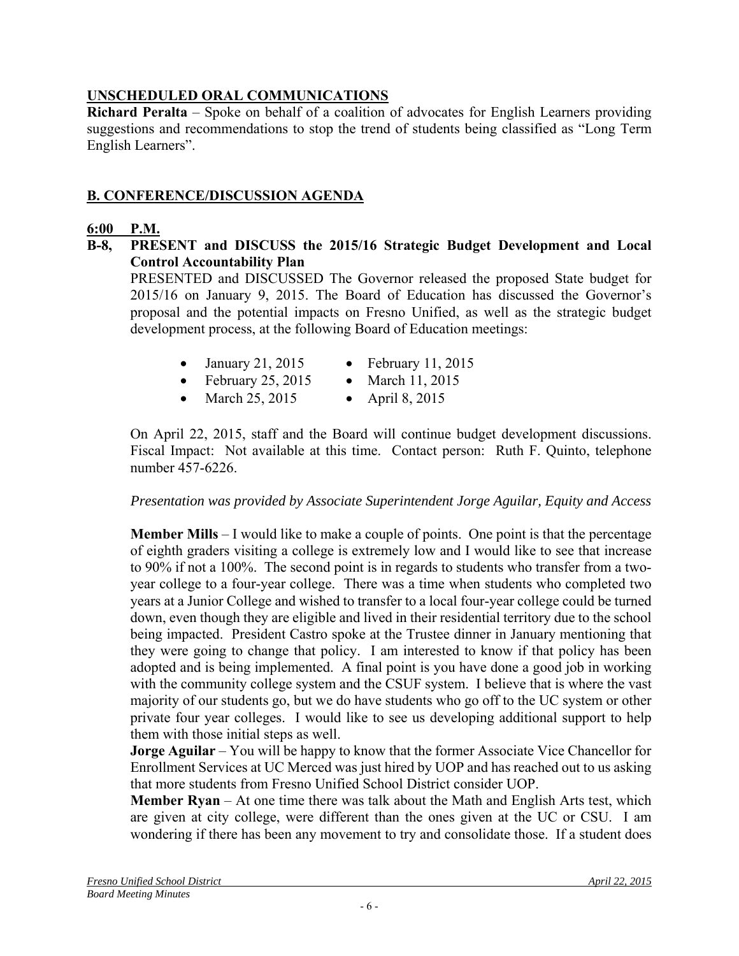# **UNSCHEDULED ORAL COMMUNICATIONS**

**Richard Peralta** – Spoke on behalf of a coalition of advocates for English Learners providing suggestions and recommendations to stop the trend of students being classified as "Long Term English Learners".

# **B. CONFERENCE/DISCUSSION AGENDA**

#### **6:00 P.M.**

**B-8, PRESENT and DISCUSS the 2015/16 Strategic Budget Development and Local Control Accountability Plan**

PRESENTED and DISCUSSED The Governor released the proposed State budget for 2015/16 on January 9, 2015. The Board of Education has discussed the Governor's proposal and the potential impacts on Fresno Unified, as well as the strategic budget development process, at the following Board of Education meetings:

- January 21, 2015 February 11, 2015
- February 25, 2015 March 11, 2015
- 
- March 25, 2015 April 8, 2015

On April 22, 2015, staff and the Board will continue budget development discussions. Fiscal Impact: Not available at this time. Contact person: Ruth F. Quinto, telephone number 457-6226.

*Presentation was provided by Associate Superintendent Jorge Aguilar, Equity and Access* 

**Member Mills** – I would like to make a couple of points. One point is that the percentage of eighth graders visiting a college is extremely low and I would like to see that increase to 90% if not a 100%. The second point is in regards to students who transfer from a twoyear college to a four-year college. There was a time when students who completed two years at a Junior College and wished to transfer to a local four-year college could be turned down, even though they are eligible and lived in their residential territory due to the school being impacted. President Castro spoke at the Trustee dinner in January mentioning that they were going to change that policy. I am interested to know if that policy has been adopted and is being implemented. A final point is you have done a good job in working with the community college system and the CSUF system. I believe that is where the vast majority of our students go, but we do have students who go off to the UC system or other private four year colleges. I would like to see us developing additional support to help them with those initial steps as well.

**Jorge Aguilar** – You will be happy to know that the former Associate Vice Chancellor for Enrollment Services at UC Merced was just hired by UOP and has reached out to us asking that more students from Fresno Unified School District consider UOP.

**Member Ryan** – At one time there was talk about the Math and English Arts test, which are given at city college, were different than the ones given at the UC or CSU. I am wondering if there has been any movement to try and consolidate those. If a student does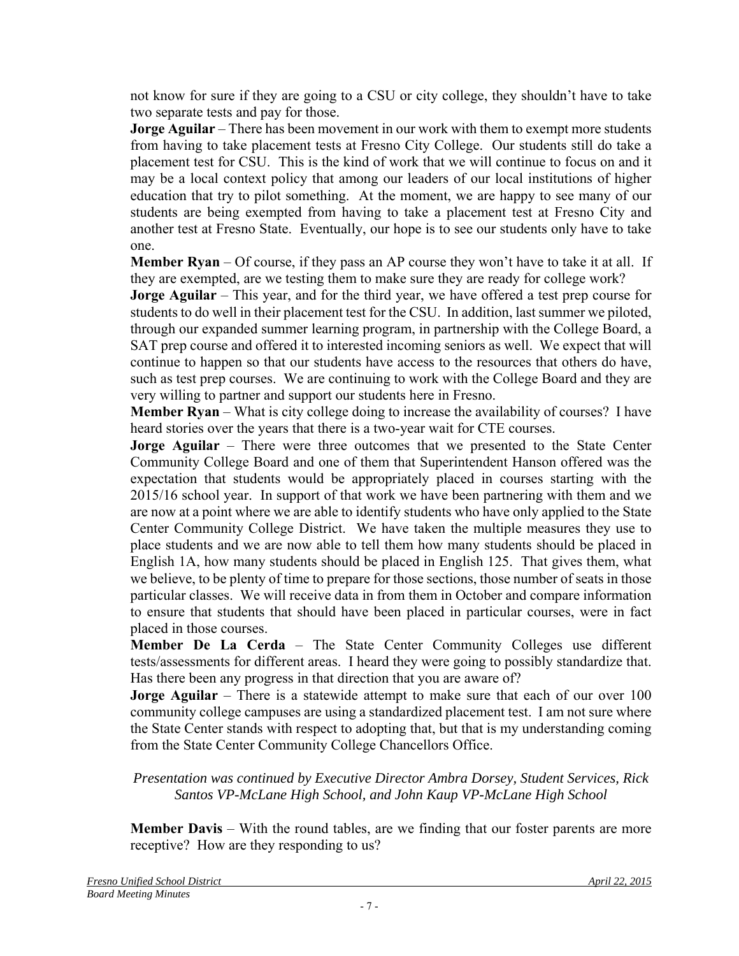not know for sure if they are going to a CSU or city college, they shouldn't have to take two separate tests and pay for those.

**Jorge Aguilar** – There has been movement in our work with them to exempt more students from having to take placement tests at Fresno City College. Our students still do take a placement test for CSU. This is the kind of work that we will continue to focus on and it may be a local context policy that among our leaders of our local institutions of higher education that try to pilot something. At the moment, we are happy to see many of our students are being exempted from having to take a placement test at Fresno City and another test at Fresno State. Eventually, our hope is to see our students only have to take one.

**Member Ryan** – Of course, if they pass an AP course they won't have to take it at all. If they are exempted, are we testing them to make sure they are ready for college work?

**Jorge Aguilar** – This year, and for the third year, we have offered a test prep course for students to do well in their placement test for the CSU. In addition, last summer we piloted, through our expanded summer learning program, in partnership with the College Board, a SAT prep course and offered it to interested incoming seniors as well. We expect that will continue to happen so that our students have access to the resources that others do have, such as test prep courses. We are continuing to work with the College Board and they are very willing to partner and support our students here in Fresno.

**Member Ryan** – What is city college doing to increase the availability of courses? I have heard stories over the years that there is a two-year wait for CTE courses.

**Jorge Aguilar** – There were three outcomes that we presented to the State Center Community College Board and one of them that Superintendent Hanson offered was the expectation that students would be appropriately placed in courses starting with the 2015/16 school year. In support of that work we have been partnering with them and we are now at a point where we are able to identify students who have only applied to the State Center Community College District. We have taken the multiple measures they use to place students and we are now able to tell them how many students should be placed in English 1A, how many students should be placed in English 125. That gives them, what we believe, to be plenty of time to prepare for those sections, those number of seats in those particular classes. We will receive data in from them in October and compare information to ensure that students that should have been placed in particular courses, were in fact placed in those courses.

**Member De La Cerda** – The State Center Community Colleges use different tests/assessments for different areas. I heard they were going to possibly standardize that. Has there been any progress in that direction that you are aware of?

**Jorge Aguilar** – There is a statewide attempt to make sure that each of our over 100 community college campuses are using a standardized placement test. I am not sure where the State Center stands with respect to adopting that, but that is my understanding coming from the State Center Community College Chancellors Office.

*Presentation was continued by Executive Director Ambra Dorsey, Student Services, Rick Santos VP-McLane High School, and John Kaup VP-McLane High School* 

**Member Davis** – With the round tables, are we finding that our foster parents are more receptive? How are they responding to us?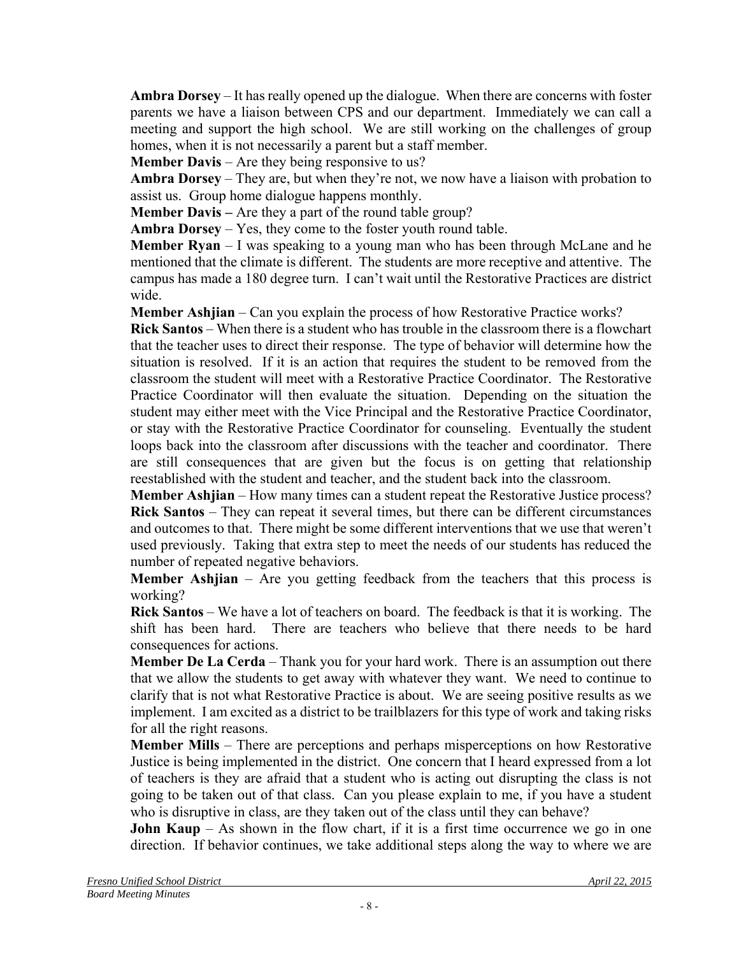**Ambra Dorsey** – It has really opened up the dialogue. When there are concerns with foster parents we have a liaison between CPS and our department. Immediately we can call a meeting and support the high school. We are still working on the challenges of group homes, when it is not necessarily a parent but a staff member.

**Member Davis** – Are they being responsive to us?

**Ambra Dorsey** – They are, but when they're not, we now have a liaison with probation to assist us. Group home dialogue happens monthly.

**Member Davis –** Are they a part of the round table group?

**Ambra Dorsey** – Yes, they come to the foster youth round table.

**Member Ryan** – I was speaking to a young man who has been through McLane and he mentioned that the climate is different. The students are more receptive and attentive. The campus has made a 180 degree turn. I can't wait until the Restorative Practices are district wide.

**Member Ashjian** – Can you explain the process of how Restorative Practice works?

**Rick Santos** – When there is a student who has trouble in the classroom there is a flowchart that the teacher uses to direct their response. The type of behavior will determine how the situation is resolved. If it is an action that requires the student to be removed from the classroom the student will meet with a Restorative Practice Coordinator. The Restorative Practice Coordinator will then evaluate the situation. Depending on the situation the student may either meet with the Vice Principal and the Restorative Practice Coordinator, or stay with the Restorative Practice Coordinator for counseling. Eventually the student loops back into the classroom after discussions with the teacher and coordinator. There are still consequences that are given but the focus is on getting that relationship reestablished with the student and teacher, and the student back into the classroom.

**Member Ashjian** – How many times can a student repeat the Restorative Justice process? **Rick Santos** – They can repeat it several times, but there can be different circumstances and outcomes to that. There might be some different interventions that we use that weren't used previously. Taking that extra step to meet the needs of our students has reduced the number of repeated negative behaviors.

**Member Ashijan** – Are you getting feedback from the teachers that this process is working?

**Rick Santos** – We have a lot of teachers on board. The feedback is that it is working. The shift has been hard. There are teachers who believe that there needs to be hard consequences for actions.

**Member De La Cerda** – Thank you for your hard work. There is an assumption out there that we allow the students to get away with whatever they want. We need to continue to clarify that is not what Restorative Practice is about. We are seeing positive results as we implement. I am excited as a district to be trailblazers for this type of work and taking risks for all the right reasons.

**Member Mills** – There are perceptions and perhaps misperceptions on how Restorative Justice is being implemented in the district. One concern that I heard expressed from a lot of teachers is they are afraid that a student who is acting out disrupting the class is not going to be taken out of that class. Can you please explain to me, if you have a student who is disruptive in class, are they taken out of the class until they can behave?

**John Kaup** – As shown in the flow chart, if it is a first time occurrence we go in one direction. If behavior continues, we take additional steps along the way to where we are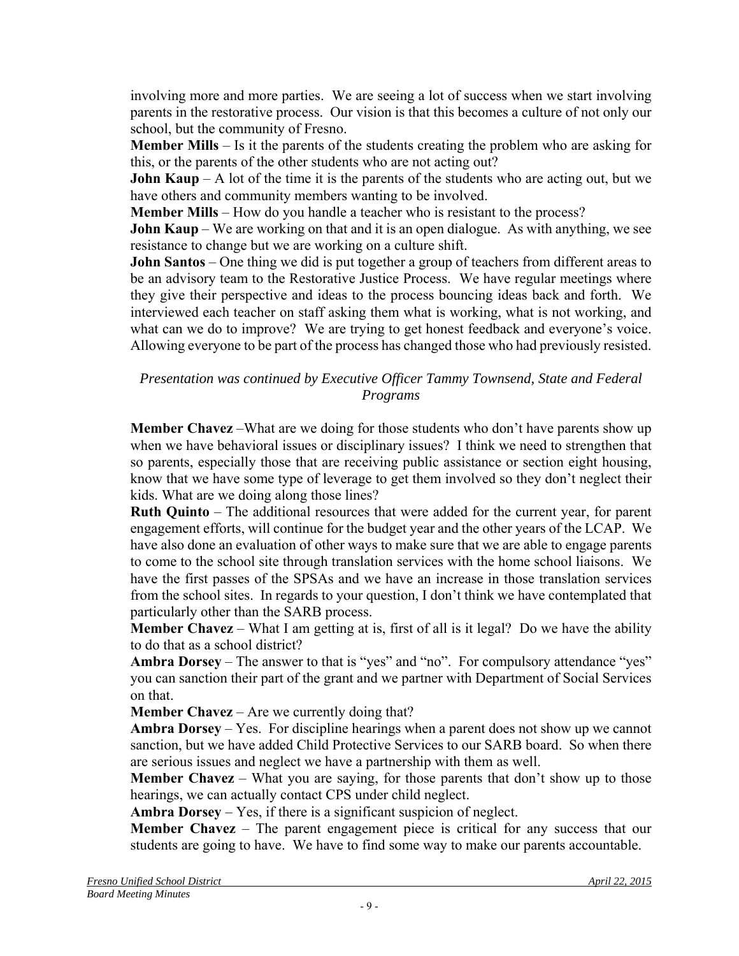involving more and more parties. We are seeing a lot of success when we start involving parents in the restorative process. Our vision is that this becomes a culture of not only our school, but the community of Fresno.

**Member Mills** – Is it the parents of the students creating the problem who are asking for this, or the parents of the other students who are not acting out?

**John Kaup** – A lot of the time it is the parents of the students who are acting out, but we have others and community members wanting to be involved.

**Member Mills** – How do you handle a teacher who is resistant to the process?

**John Kaup** – We are working on that and it is an open dialogue. As with anything, we see resistance to change but we are working on a culture shift.

**John Santos** – One thing we did is put together a group of teachers from different areas to be an advisory team to the Restorative Justice Process. We have regular meetings where they give their perspective and ideas to the process bouncing ideas back and forth. We interviewed each teacher on staff asking them what is working, what is not working, and what can we do to improve? We are trying to get honest feedback and everyone's voice. Allowing everyone to be part of the process has changed those who had previously resisted.

#### *Presentation was continued by Executive Officer Tammy Townsend, State and Federal Programs*

**Member Chavez** –What are we doing for those students who don't have parents show up when we have behavioral issues or disciplinary issues? I think we need to strengthen that so parents, especially those that are receiving public assistance or section eight housing, know that we have some type of leverage to get them involved so they don't neglect their kids. What are we doing along those lines?

**Ruth Quinto** – The additional resources that were added for the current year, for parent engagement efforts, will continue for the budget year and the other years of the LCAP. We have also done an evaluation of other ways to make sure that we are able to engage parents to come to the school site through translation services with the home school liaisons. We have the first passes of the SPSAs and we have an increase in those translation services from the school sites. In regards to your question, I don't think we have contemplated that particularly other than the SARB process.

**Member Chavez** – What I am getting at is, first of all is it legal? Do we have the ability to do that as a school district?

**Ambra Dorsey** – The answer to that is "yes" and "no". For compulsory attendance "yes" you can sanction their part of the grant and we partner with Department of Social Services on that.

**Member Chavez** – Are we currently doing that?

**Ambra Dorsey** – Yes. For discipline hearings when a parent does not show up we cannot sanction, but we have added Child Protective Services to our SARB board. So when there are serious issues and neglect we have a partnership with them as well.

**Member Chavez** – What you are saying, for those parents that don't show up to those hearings, we can actually contact CPS under child neglect.

**Ambra Dorsey** – Yes, if there is a significant suspicion of neglect.

**Member Chavez** – The parent engagement piece is critical for any success that our students are going to have. We have to find some way to make our parents accountable.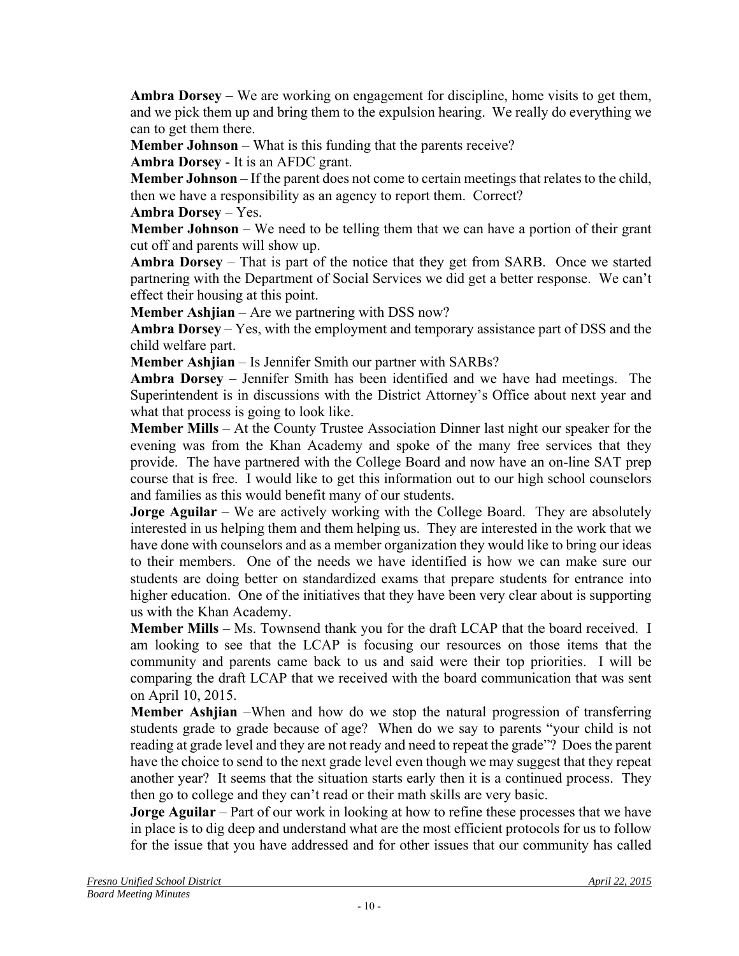**Ambra Dorsey** – We are working on engagement for discipline, home visits to get them, and we pick them up and bring them to the expulsion hearing. We really do everything we can to get them there.

**Member Johnson** – What is this funding that the parents receive?

**Ambra Dorsey** - It is an AFDC grant.

**Member Johnson** – If the parent does not come to certain meetings that relates to the child, then we have a responsibility as an agency to report them. Correct?

**Ambra Dorsey** – Yes.

**Member Johnson** – We need to be telling them that we can have a portion of their grant cut off and parents will show up.

**Ambra Dorsey** – That is part of the notice that they get from SARB. Once we started partnering with the Department of Social Services we did get a better response. We can't effect their housing at this point.

**Member Ashjian** – Are we partnering with DSS now?

**Ambra Dorsey** – Yes, with the employment and temporary assistance part of DSS and the child welfare part.

**Member Ashjian** – Is Jennifer Smith our partner with SARBs?

**Ambra Dorsey** – Jennifer Smith has been identified and we have had meetings. The Superintendent is in discussions with the District Attorney's Office about next year and what that process is going to look like.

**Member Mills** – At the County Trustee Association Dinner last night our speaker for the evening was from the Khan Academy and spoke of the many free services that they provide. The have partnered with the College Board and now have an on-line SAT prep course that is free. I would like to get this information out to our high school counselors and families as this would benefit many of our students.

**Jorge Aguilar** – We are actively working with the College Board. They are absolutely interested in us helping them and them helping us. They are interested in the work that we have done with counselors and as a member organization they would like to bring our ideas to their members. One of the needs we have identified is how we can make sure our students are doing better on standardized exams that prepare students for entrance into higher education. One of the initiatives that they have been very clear about is supporting us with the Khan Academy.

**Member Mills** – Ms. Townsend thank you for the draft LCAP that the board received. I am looking to see that the LCAP is focusing our resources on those items that the community and parents came back to us and said were their top priorities. I will be comparing the draft LCAP that we received with the board communication that was sent on April 10, 2015.

**Member Ashjian** –When and how do we stop the natural progression of transferring students grade to grade because of age? When do we say to parents "your child is not reading at grade level and they are not ready and need to repeat the grade"? Does the parent have the choice to send to the next grade level even though we may suggest that they repeat another year? It seems that the situation starts early then it is a continued process. They then go to college and they can't read or their math skills are very basic.

**Jorge Aguilar** – Part of our work in looking at how to refine these processes that we have in place is to dig deep and understand what are the most efficient protocols for us to follow for the issue that you have addressed and for other issues that our community has called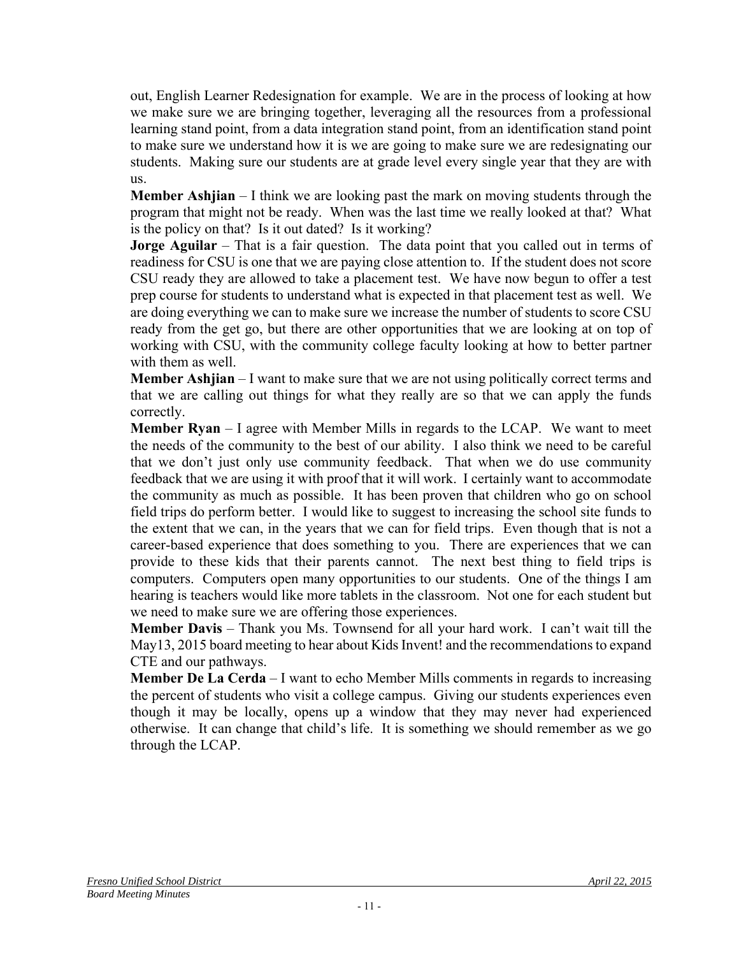out, English Learner Redesignation for example. We are in the process of looking at how we make sure we are bringing together, leveraging all the resources from a professional learning stand point, from a data integration stand point, from an identification stand point to make sure we understand how it is we are going to make sure we are redesignating our students. Making sure our students are at grade level every single year that they are with us.

**Member Ashjian** – I think we are looking past the mark on moving students through the program that might not be ready. When was the last time we really looked at that? What is the policy on that? Is it out dated? Is it working?

**Jorge Aguilar** – That is a fair question. The data point that you called out in terms of readiness for CSU is one that we are paying close attention to. If the student does not score CSU ready they are allowed to take a placement test. We have now begun to offer a test prep course for students to understand what is expected in that placement test as well. We are doing everything we can to make sure we increase the number of students to score CSU ready from the get go, but there are other opportunities that we are looking at on top of working with CSU, with the community college faculty looking at how to better partner with them as well.

**Member Ashjian** – I want to make sure that we are not using politically correct terms and that we are calling out things for what they really are so that we can apply the funds correctly.

**Member Ryan** – I agree with Member Mills in regards to the LCAP. We want to meet the needs of the community to the best of our ability. I also think we need to be careful that we don't just only use community feedback. That when we do use community feedback that we are using it with proof that it will work. I certainly want to accommodate the community as much as possible. It has been proven that children who go on school field trips do perform better. I would like to suggest to increasing the school site funds to the extent that we can, in the years that we can for field trips. Even though that is not a career-based experience that does something to you. There are experiences that we can provide to these kids that their parents cannot. The next best thing to field trips is computers. Computers open many opportunities to our students. One of the things I am hearing is teachers would like more tablets in the classroom. Not one for each student but we need to make sure we are offering those experiences.

**Member Davis** – Thank you Ms. Townsend for all your hard work. I can't wait till the May13, 2015 board meeting to hear about Kids Invent! and the recommendations to expand CTE and our pathways.

**Member De La Cerda** – I want to echo Member Mills comments in regards to increasing the percent of students who visit a college campus. Giving our students experiences even though it may be locally, opens up a window that they may never had experienced otherwise. It can change that child's life. It is something we should remember as we go through the LCAP.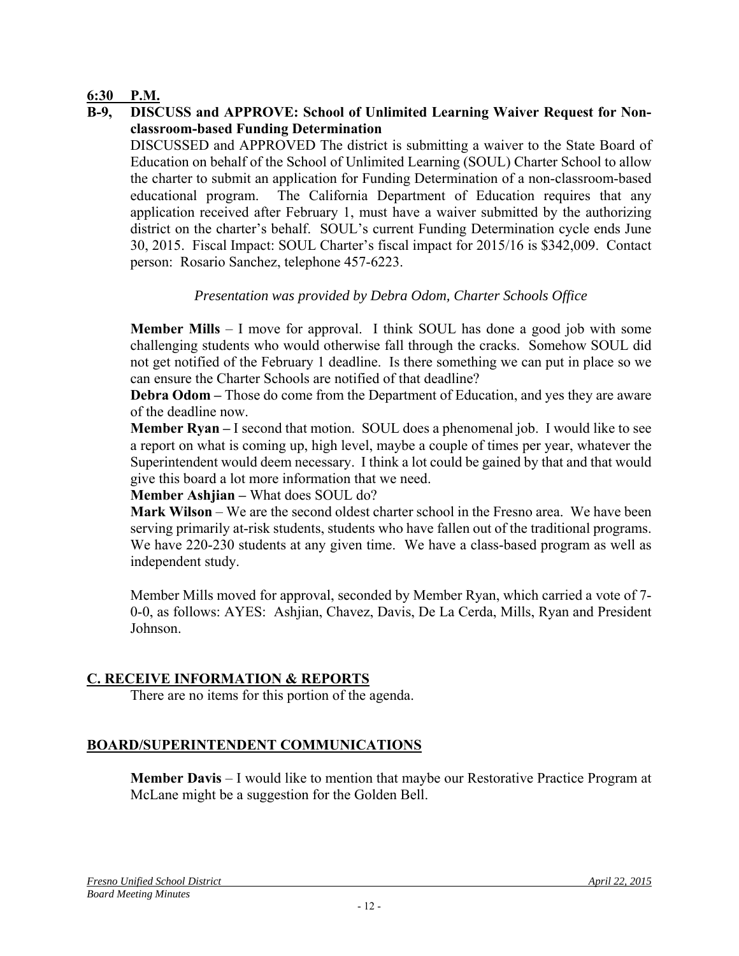#### **6:30 P.M.**

**B-9, DISCUSS and APPROVE: School of Unlimited Learning Waiver Request for Nonclassroom-based Funding Determination** 

DISCUSSED and APPROVED The district is submitting a waiver to the State Board of Education on behalf of the School of Unlimited Learning (SOUL) Charter School to allow the charter to submit an application for Funding Determination of a non-classroom-based educational program. The California Department of Education requires that any application received after February 1, must have a waiver submitted by the authorizing district on the charter's behalf. SOUL's current Funding Determination cycle ends June 30, 2015. Fiscal Impact: SOUL Charter's fiscal impact for 2015/16 is \$342,009. Contact person: Rosario Sanchez, telephone 457-6223.

### *Presentation was provided by Debra Odom, Charter Schools Office*

**Member Mills** – I move for approval. I think SOUL has done a good job with some challenging students who would otherwise fall through the cracks. Somehow SOUL did not get notified of the February 1 deadline. Is there something we can put in place so we can ensure the Charter Schools are notified of that deadline?

**Debra Odom –** Those do come from the Department of Education, and yes they are aware of the deadline now.

**Member Ryan –** I second that motion. SOUL does a phenomenal job. I would like to see a report on what is coming up, high level, maybe a couple of times per year, whatever the Superintendent would deem necessary. I think a lot could be gained by that and that would give this board a lot more information that we need.

**Member Ashjian –** What does SOUL do?

**Mark Wilson** – We are the second oldest charter school in the Fresno area. We have been serving primarily at-risk students, students who have fallen out of the traditional programs. We have 220-230 students at any given time. We have a class-based program as well as independent study.

Member Mills moved for approval, seconded by Member Ryan, which carried a vote of 7- 0-0, as follows: AYES: Ashjian, Chavez, Davis, De La Cerda, Mills, Ryan and President Johnson.

#### **C. RECEIVE INFORMATION & REPORTS**

There are no items for this portion of the agenda.

# **BOARD/SUPERINTENDENT COMMUNICATIONS**

**Member Davis** – I would like to mention that maybe our Restorative Practice Program at McLane might be a suggestion for the Golden Bell.